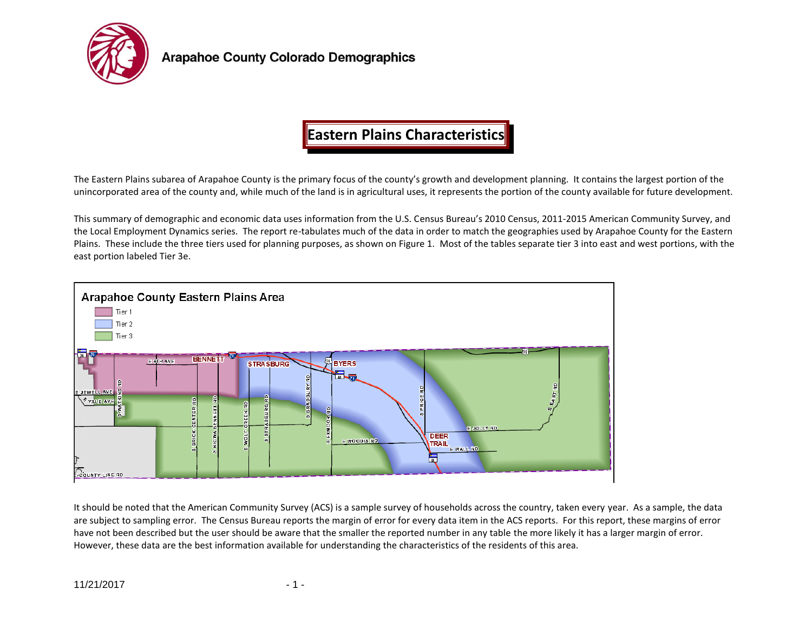

### **Eastern Plains Characteristics**

The Eastern Plains subarea of Arapahoe County is the primary focus of the county's growth and development planning. It contains the largest portion of the unincorporated area of the county and, while much of the land is in agricultural uses, it represents the portion of the county available for future development.

This summary of demographic and economic data uses information from the U.S. Census Bureau's 2010 Census, 2011-2015 American Community Survey, and the Local Employment Dynamics series. The report re-tabulates much of the data in order to match the geographies used by Arapahoe County for the Eastern Plains. These include the three tiers used for planning purposes, as shown on Figure 1. Most of the tables separate tier 3 into east and west portions, with the east portion labeled Tier 3e.



It should be noted that the American Community Survey (ACS) is a sample survey of households across the country, taken every year. As a sample, the data are subject to sampling error. The Census Bureau reports the margin of error for every data item in the ACS reports. For this report, these margins of error have not been described but the user should be aware that the smaller the reported number in any table the more likely it has a larger margin of error. However, these data are the best information available for understanding the characteristics of the residents of this area.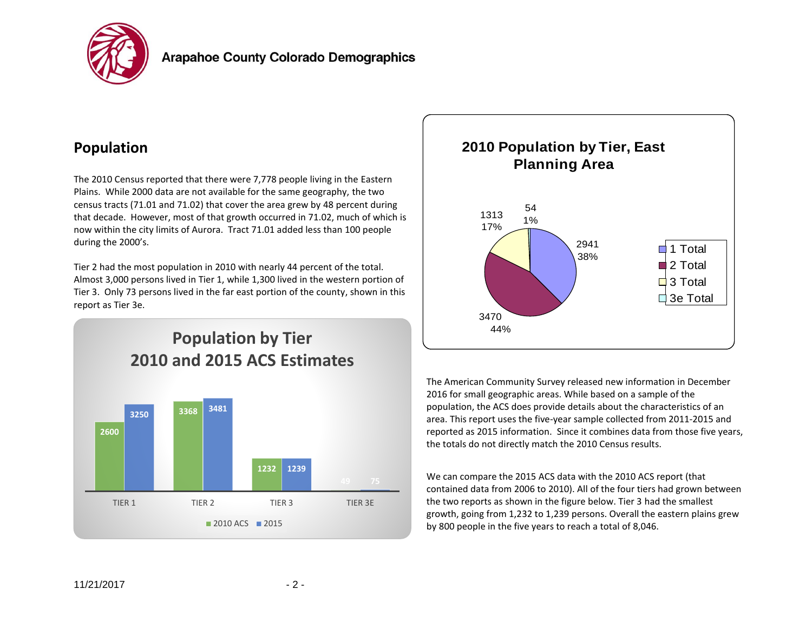

#### **Population**

The 2010 Census reported that there were 7,778 people living in the Eastern Plains. While 2000 data are not available for the same geography, the two census tracts (71.01 and 71.02) that cover the area grew by 48 percent during that decade. However, most of that growth occurred in 71.02, much of which is now within the city limits of Aurora. Tract 71.01 added less than 100 people during the 2000's.

Tier 2 had the most population in 2010 with nearly 44 percent of the total. Almost 3,000 persons lived in Tier 1, while 1,300 lived in the western portion of Tier 3. Only 73 persons lived in the far east portion of the county, shown in this report as Tier 3e.





The American Community Survey released new information in December 2016 for small geographic areas. While based on a sample of the population, the ACS does provide details about the characteristics of an area. This report uses the five-year sample collected from 2011-2015 and reported as 2015 information. Since it combines data from those five years, the totals do not directly match the 2010 Census results.

We can compare the 2015 ACS data with the 2010 ACS report (that contained data from 2006 to 2010). All of the four tiers had grown between the two reports as shown in the figure below. Tier 3 had the smallest growth, going from 1,232 to 1,239 persons. Overall the eastern plains grew by 800 people in the five years to reach a total of 8,046.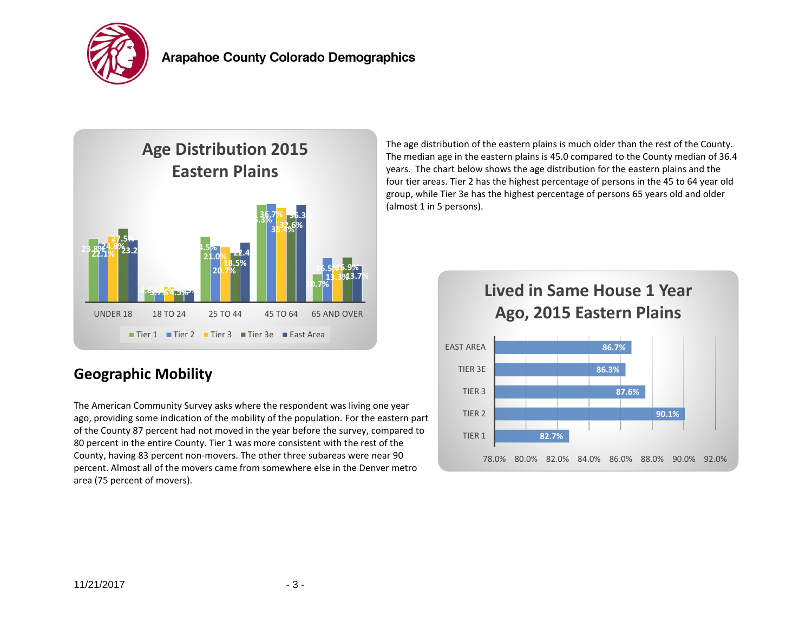

# **Age Distribution 2015 Eastern Plains**



## **Geographic Mobility**

The American Community Survey asks where the respondent was living one year ago, providing some indication of the mobility of the population. For the eastern part of the County 87 percent had not moved in the year before the survey, compared to 80 percent in the entire County. Tier 1 was more consistent with the rest of the County, having 83 percent non-movers. The other three subareas were near 90 percent. Almost all of the movers came from somewhere else in the Denver metro area (75 percent of movers).

The age distribution of the eastern plains is much older than the rest of the County. The median age in the eastern plains is 45.0 compared to the County median of 36.4 years. The chart below shows the age distribution for the eastern plains and the four tier areas. Tier 2 has the highest percentage of persons in the 45 to 64 year old group, while Tier 3e has the highest percentage of persons 65 years old and older (almost 1 in 5 persons).

## **Lived in Same House 1 Year Ago, 2015 Eastern Plains**

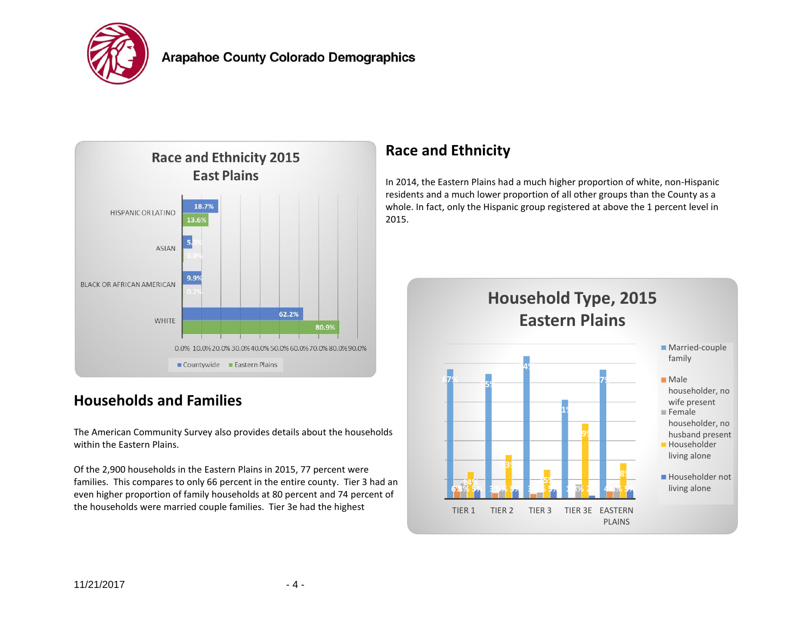



### **Households and Families**

The American Community Survey also provides details about the households within the Eastern Plains.

Of the 2,900 households in the Eastern Plains in 2015, 77 percent were families. This compares to only 66 percent in the entire county. Tier 3 had an even higher proportion of family households at 80 percent and 74 percent of the households were married couple families. Tier 3e had the highest

### **Race and Ethnicity**

In 2014, the Eastern Plains had a much higher proportion of white, non-Hispanic residents and a much lower proportion of all other groups than the County as a whole. In fact, only the Hispanic group registered at above the 1 percent level in 2015.

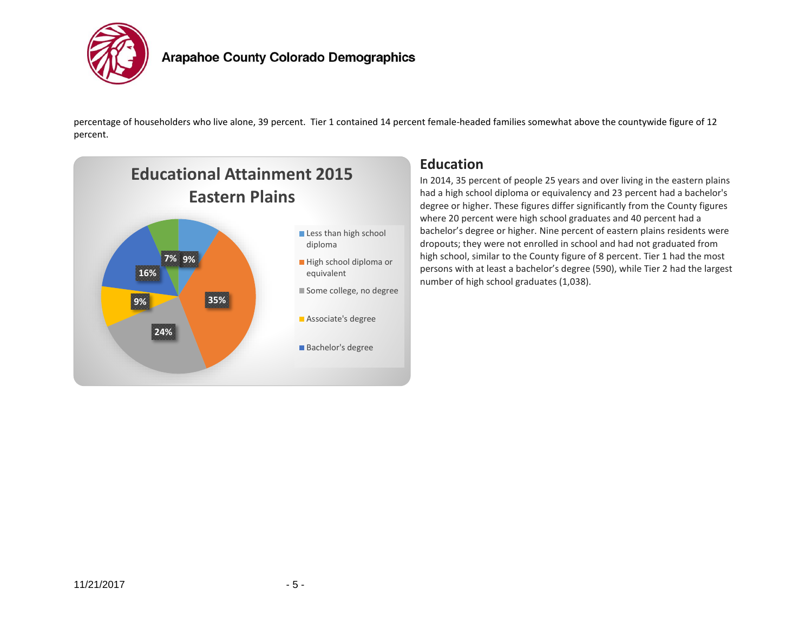

percentage of householders who live alone, 39 percent. Tier 1 contained 14 percent female-headed families somewhat above the countywide figure of 12 percent.



#### **Education**

In 2014, 35 percent of people 25 years and over living in the eastern plains had a high school diploma or equivalency and 23 percent had a bachelor's degree or higher. These figures differ significantly from the County figures where 20 percent were high school graduates and 40 percent had a bachelor's degree or higher. Nine percent of eastern plains residents were dropouts; they were not enrolled in school and had not graduated from high school, similar to the County figure of 8 percent. Tier 1 had the most persons with at least a bachelor's degree (590), while Tier 2 had the largest number of high school graduates (1,038).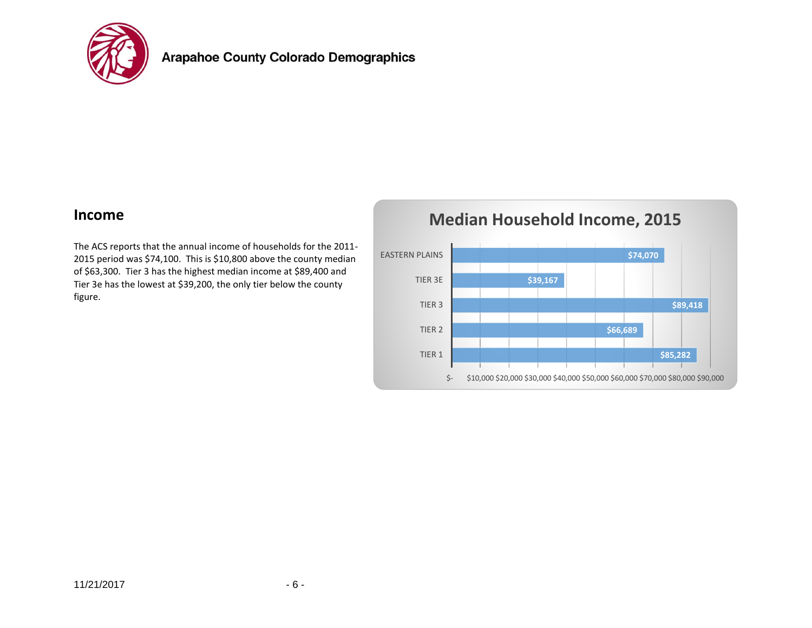

#### **Income**

The ACS reports that the annual income of households for the 2011- 2015 period was \$74,100. This is \$10,800 above the county median of \$63,300. Tier 3 has the highest median income at \$89,400 and Tier 3e has the lowest at \$39,200, the only tier below the county figure.



#### $11/21/2017$  - 6 -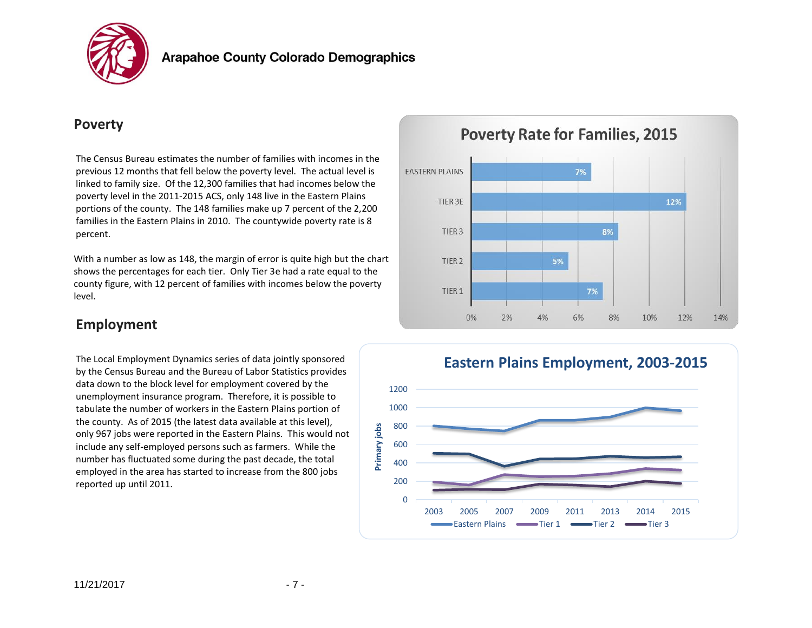

#### **Poverty**

The Census Bureau estimates the number of families with incomes in the previous 12 months that fell below the poverty level. The actual level is linked to family size. Of the 12,300 families that had incomes below the poverty level in the 2011-2015 ACS, only 148 live in the Eastern Plains portions of the county. The 148 families make up 7 percent of the 2,200 families in the Eastern Plains in 2010. The countywide poverty rate is 8 percent.

With a number as low as 148, the margin of error is quite high but the chart shows the percentages for each tier. Only Tier 3e had a rate equal to the county figure, with 12 percent of families with incomes below the poverty level.

#### **Employment**

The Local Employment Dynamics series of data jointly sponsored by the Census Bureau and the Bureau of Labor Statistics provides data down to the block level for employment covered by the unemployment insurance program. Therefore, it is possible to tabulate the number of workers in the Eastern Plains portion of the county. As of 2015 (the latest data available at this level), only 967 jobs were reported in the Eastern Plains. This would not include any self-employed persons such as farmers. While the number has fluctuated some during the past decade, the total employed in the area has started to increase from the 800 jobs reported up until 2011.



### **Poverty Rate for Families, 2015**



#### **Eastern Plains Employment, 2003-2015**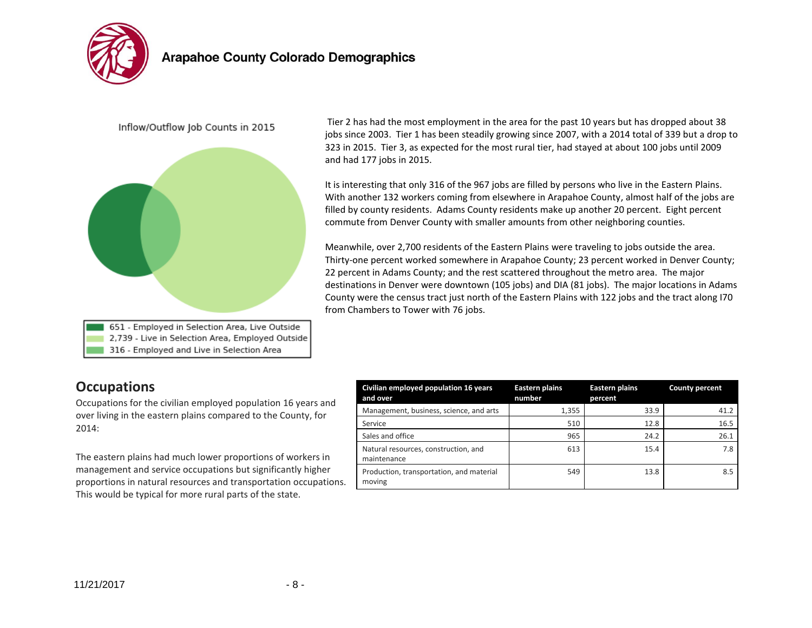

#### Inflow/Outflow Job Counts in 2015



 Tier 2 has had the most employment in the area for the past 10 years but has dropped about 38 jobs since 2003. Tier 1 has been steadily growing since 2007, with a 2014 total of 339 but a drop to 323 in 2015. Tier 3, as expected for the most rural tier, had stayed at about 100 jobs until 2009 and had 177 jobs in 2015.

It is interesting that only 316 of the 967 jobs are filled by persons who live in the Eastern Plains. With another 132 workers coming from elsewhere in Arapahoe County, almost half of the jobs are filled by county residents. Adams County residents make up another 20 percent. Eight percent commute from Denver County with smaller amounts from other neighboring counties.

Meanwhile, over 2,700 residents of the Eastern Plains were traveling to jobs outside the area. Thirty-one percent worked somewhere in Arapahoe County; 23 percent worked in Denver County; 22 percent in Adams County; and the rest scattered throughout the metro area. The major destinations in Denver were downtown (105 jobs) and DIA (81 jobs). The major locations in Adams County were the census tract just north of the Eastern Plains with 122 jobs and the tract along I70 from Chambers to Tower with 76 jobs.

#### **Occupations**

Occupations for the civilian employed population 16 years and over living in the eastern plains compared to the County, for 2014:

The eastern plains had much lower proportions of workers in management and service occupations but significantly higher proportions in natural resources and transportation occupations. This would be typical for more rural parts of the state.

| Civilian employed population 16 years<br>and over   | <b>Eastern plains</b><br>number | <b>Eastern plains</b><br>percent | <b>County percent</b> |
|-----------------------------------------------------|---------------------------------|----------------------------------|-----------------------|
| Management, business, science, and arts             | 1,355                           | 33.9                             | 41.2                  |
| Service                                             | 510                             | 12.8                             | 16.5                  |
| Sales and office                                    | 965                             | 24.2                             | 26.1                  |
| Natural resources, construction, and<br>maintenance | 613                             | 15.4                             | 7.8                   |
| Production, transportation, and material<br>moving  | 549                             | 13.8                             | 8.5                   |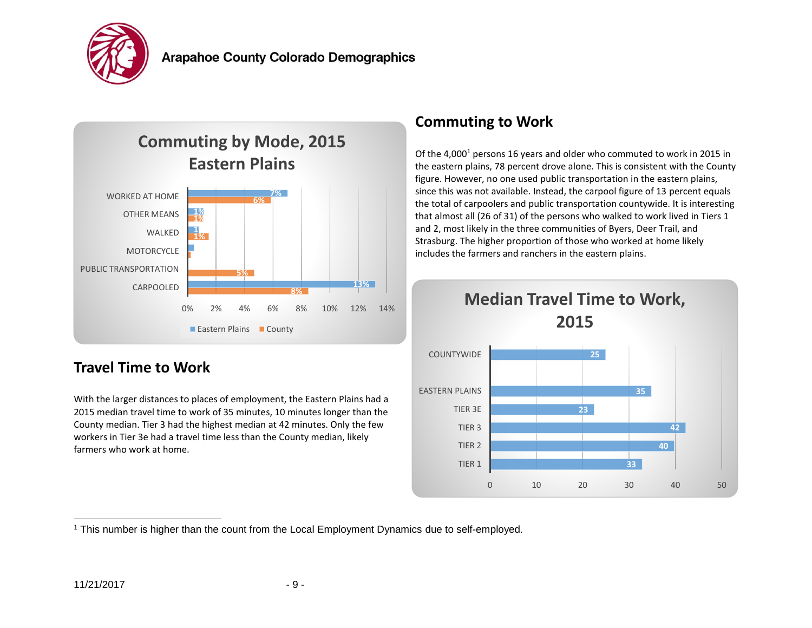



### **Travel Time to Work**

With the larger distances to places of employment, the Eastern Plains had a 2015 median travel time to work of 35 minutes, 10 minutes longer than the County median. Tier 3 had the highest median at 42 minutes. Only the few workers in Tier 3e had a travel time less than the County median, likely farmers who work at home.

### **Commuting to Work**

Of the 4,000<sup>1</sup> persons 16 years and older who commuted to work in 2015 in the eastern plains, 78 percent drove alone. This is consistent with the County figure. However, no one used public transportation in the eastern plains, since this was not available. Instead, the carpool figure of 13 percent equals the total of carpoolers and public transportation countywide. It is interesting that almost all (26 of 31) of the persons who walked to work lived in Tiers 1 and 2, most likely in the three communities of Byers, Deer Trail, and Strasburg. The higher proportion of those who worked at home likely includes the farmers and ranchers in the eastern plains.



<sup>1</sup> This number is higher than the count from the Local Employment Dynamics due to self-employed.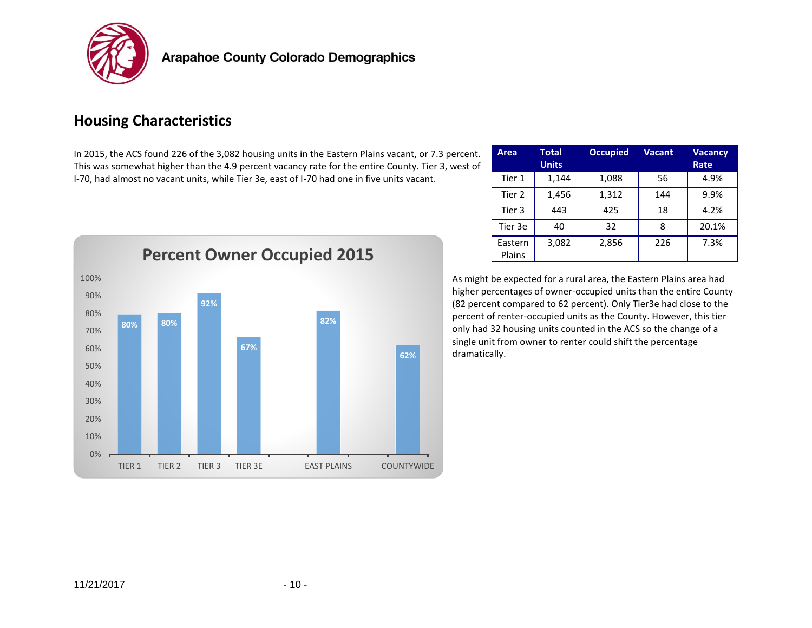

### **Housing Characteristics**

In 2015, the ACS found 226 of the 3,082 housing units in the Eastern Plains vacant, or 7.3 percent. This was somewhat higher than the 4.9 percent vacancy rate for the entire County. Tier 3, west of I-70, had almost no vacant units, while Tier 3e, east of I-70 had one in five units vacant.



| Area              | Total<br><b>Units</b> | <b>Occupied</b> | <b>Vacant</b> | Vacancv<br>Rate |
|-------------------|-----------------------|-----------------|---------------|-----------------|
| Tier 1            | 1,144                 | 1,088           | 56            | 4.9%            |
| Tier 2            | 1,456                 | 1,312           | 144           | 9.9%            |
| Tier 3            | 443                   | 425             | 18            | 4.2%            |
| Tier 3e           | 40                    | 32              | 8             | 20.1%           |
| Eastern<br>Plains | 3,082                 | 2,856           | 226           | 7.3%            |

As might be expected for a rural area, the Eastern Plains area had higher percentages of owner-occupied units than the entire County (82 percent compared to 62 percent). Only Tier3e had close to the percent of renter-occupied units as the County. However, this tier only had 32 housing units counted in the ACS so the change of a single unit from owner to renter could shift the percentage dramatically.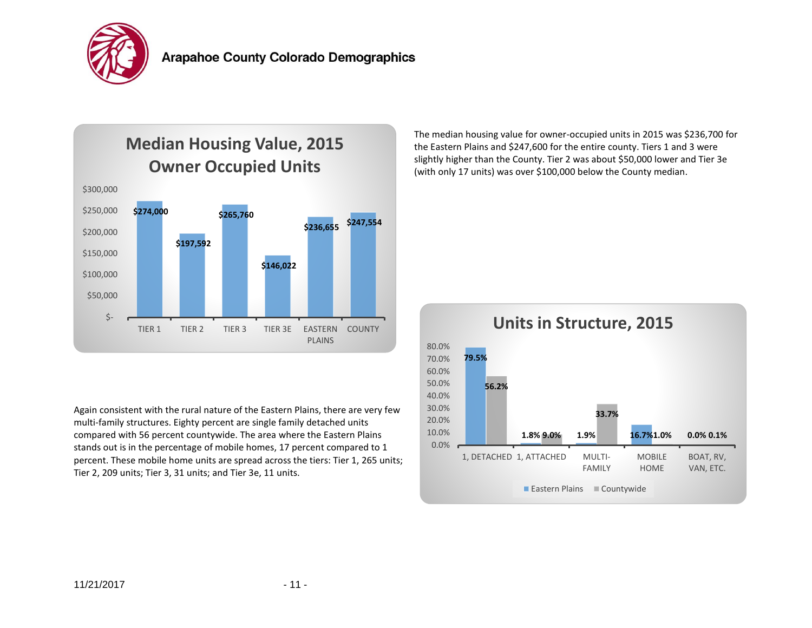



Again consistent with the rural nature of the Eastern Plains, there are very few multi-family structures. Eighty percent are single family detached units compared with 56 percent countywide. The area where the Eastern Plains stands out is in the percentage of mobile homes, 17 percent compared to 1 percent. These mobile home units are spread across the tiers: Tier 1, 265 units; Tier 2, 209 units; Tier 3, 31 units; and Tier 3e, 11 units.

The median housing value for owner-occupied units in 2015 was \$236,700 for the Eastern Plains and \$247,600 for the entire county. Tiers 1 and 3 were slightly higher than the County. Tier 2 was about \$50,000 lower and Tier 3e (with only 17 units) was over \$100,000 below the County median.